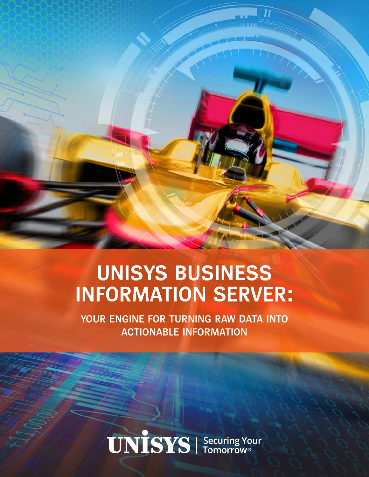## **UNISYS BUSINESS INFORMATION SERVER:**

**YOUR ENGINE FOR TURNING RAW DATA INTO ACTIONABLE INFORMATION**

**UNISYS** Securing Your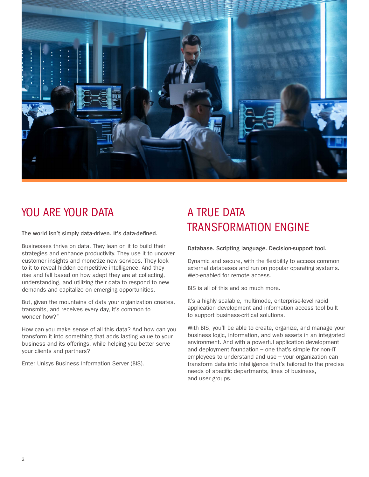

### YOU ARE YOUR DATA A TRUE DATA

**The world isn't simply data-driven. It's data-defined.**

Businesses thrive on data. They lean on it to build their strategies and enhance productivity. They use it to uncover customer insights and monetize new services. They look to it to reveal hidden competitive intelligence. And they rise and fall based on how adept they are at collecting, understanding, and utilizing their data to respond to new demands and capitalize on emerging opportunities.

But, given the mountains of data your organization creates, transmits, and receives every day, it's common to wonder how?"

How can you make sense of all this data? And how can you transform it into something that adds lasting value to your business and its offerings, while helping you better serve your clients and partners?

Enter Unisys Business Information Server (BIS).

# TRANSFORMATION ENGINE

**Database. Scripting language. Decision-support tool.** 

Dynamic and secure, with the flexibility to access common external databases and run on popular operating systems. Web-enabled for remote access.

BIS is all of this and so much more.

It's a highly scalable, multimode, enterprise-level rapid application development and information access tool built to support business-critical solutions.

With BIS, you'll be able to create, organize, and manage your business logic, information, and web assets in an integrated environment. And with a powerful application development and deployment foundation – one that's simple for non-IT employees to understand and use – your organization can transform data into intelligence that's tailored to the precise needs of specific departments, lines of business, and user groups.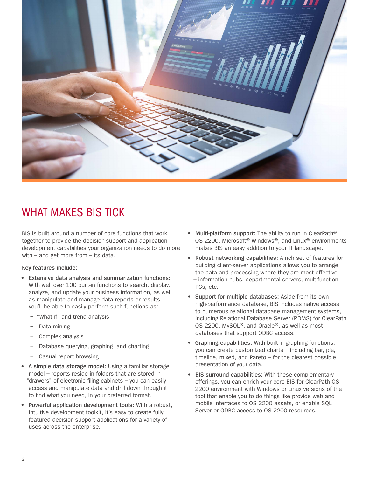

### WHAT MAKES BIS TICK

BIS is built around a number of core functions that work together to provide the decision-support and application development capabilities your organization needs to do more with – and get more from – its data.

**Key features include:**

- **• Extensive data analysis and summarization functions:** With well over 100 built-in functions to search, display, analyze, and update your business information, as well as manipulate and manage data reports or results, you'll be able to easily perform such functions as:
	- − "What if" and trend analysis
	- Data mining
	- − Complex analysis
	- Database querying, graphing, and charting
	- − Casual report browsing
- **• A simple data storage model:** Using a familiar storage model – reports reside in folders that are stored in "drawers" of electronic filing cabinets – you can easily access and manipulate data and drill down through it to find what you need, in your preferred format.
- **• Powerful application development tools:** With a robust, intuitive development toolkit, it's easy to create fully featured decision-support applications for a variety of uses across the enterprise.
- **• Multi-platform support:** The ability to run in ClearPath® OS 2200, Microsoft® Windows®, and Linux® environments makes BIS an easy addition to your IT landscape.
- **• Robust networking capabilities:** A rich set of features for building client-server applications allows you to arrange the data and processing where they are most effective – information hubs, departmental servers, multifunction PCs, etc.
- **• Support for multiple databases:** Aside from its own high-performance database, BIS includes native access to numerous relational database management systems, including Relational Database Server (RDMS) for ClearPath OS 2200, MySQL®, and Oracle®, as well as most databases that support ODBC access.
- **• Graphing capabilities:** With built-in graphing functions, you can create customized charts – including bar, pie, timeline, mixed, and Pareto – for the clearest possible presentation of your data.
- **• BIS surround capabilities:** With these complementary offerings, you can enrich your core BIS for ClearPath OS 2200 environment with Windows or Linux versions of the tool that enable you to do things like provide web and mobile interfaces to OS 2200 assets, or enable SQL Server or ODBC access to OS 2200 resources.